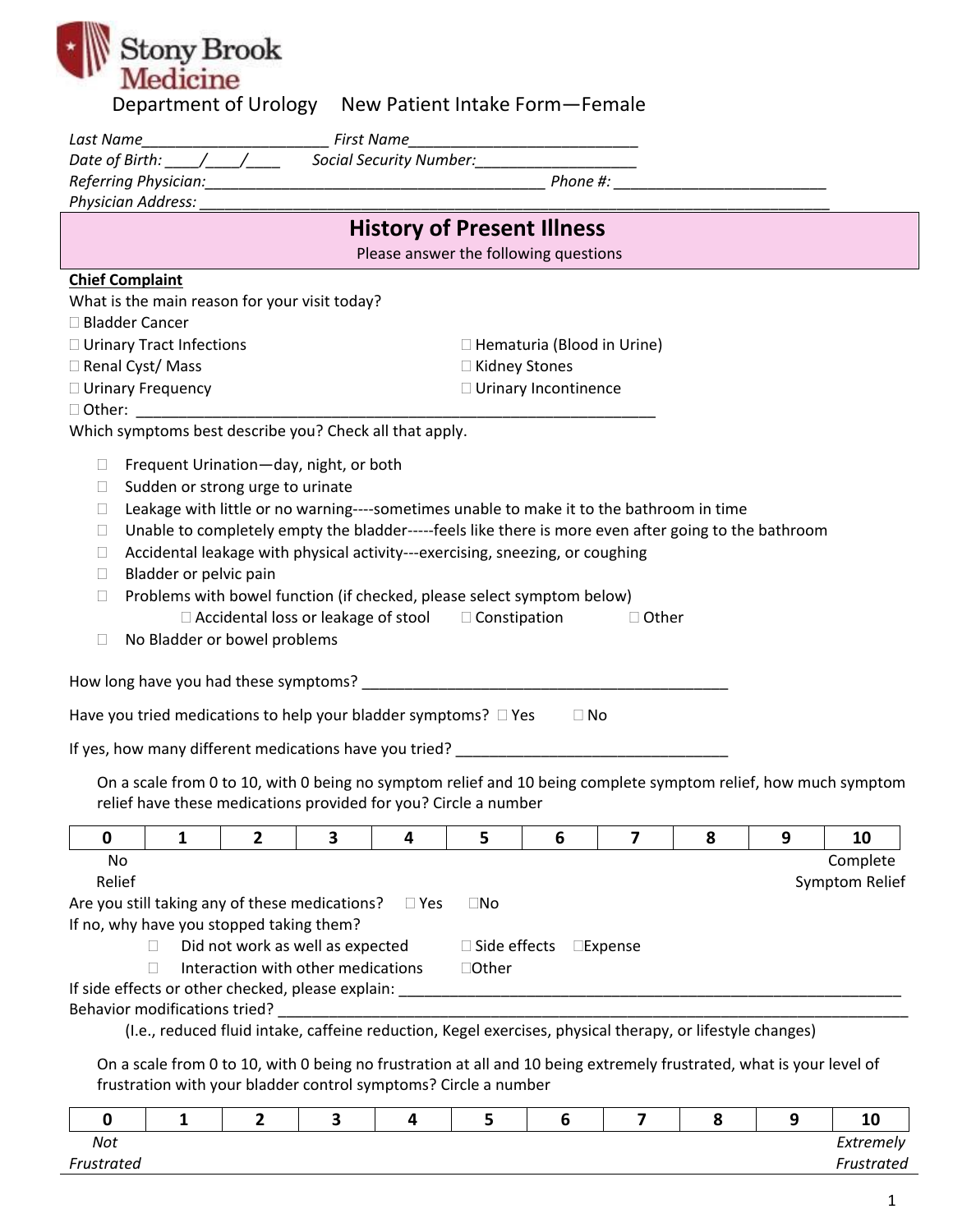| <b>EN Stony Brook</b> |                                                      |
|-----------------------|------------------------------------------------------|
|                       |                                                      |
|                       | Donartmont of Urology Now Dationt Intako Form Fomale |

| Department of Orology - New Patient intake Form—Female                                                                                                                                  |                                                                                                           |   |   |                     |                                       |                   |                                                  |   |                |
|-----------------------------------------------------------------------------------------------------------------------------------------------------------------------------------------|-----------------------------------------------------------------------------------------------------------|---|---|---------------------|---------------------------------------|-------------------|--------------------------------------------------|---|----------------|
| Last Name                                                                                                                                                                               |                                                                                                           |   |   |                     |                                       |                   |                                                  |   |                |
|                                                                                                                                                                                         |                                                                                                           |   |   |                     |                                       |                   |                                                  |   |                |
|                                                                                                                                                                                         |                                                                                                           |   |   |                     |                                       |                   | <u> 2000 - Januar James, president politik (</u> |   |                |
| Physician Address: Marine Marine Marine Marine Marine Marine Marine Marine Marine Marine Marine Marine Marine                                                                           |                                                                                                           |   |   |                     |                                       |                   |                                                  |   |                |
|                                                                                                                                                                                         |                                                                                                           |   |   |                     | <b>History of Present Illness</b>     |                   |                                                  |   |                |
|                                                                                                                                                                                         |                                                                                                           |   |   |                     | Please answer the following questions |                   |                                                  |   |                |
| <b>Chief Complaint</b>                                                                                                                                                                  |                                                                                                           |   |   |                     |                                       |                   |                                                  |   |                |
| What is the main reason for your visit today?                                                                                                                                           |                                                                                                           |   |   |                     |                                       |                   |                                                  |   |                |
| □ Bladder Cancer                                                                                                                                                                        |                                                                                                           |   |   |                     |                                       |                   |                                                  |   |                |
|                                                                                                                                                                                         |                                                                                                           |   |   |                     |                                       |                   |                                                  |   |                |
| □ Urinary Tract Infections<br>$\Box$ Hematuria (Blood in Urine)<br>□ Renal Cyst/ Mass                                                                                                   |                                                                                                           |   |   |                     |                                       |                   |                                                  |   |                |
|                                                                                                                                                                                         | □ Kidney Stones<br>□ Urinary Incontinence                                                                 |   |   |                     |                                       |                   |                                                  |   |                |
| □ Urinary Frequency                                                                                                                                                                     |                                                                                                           |   |   |                     |                                       |                   |                                                  |   |                |
| $\Box$ Other: $\Box$                                                                                                                                                                    |                                                                                                           |   |   |                     |                                       |                   |                                                  |   |                |
| Which symptoms best describe you? Check all that apply.                                                                                                                                 |                                                                                                           |   |   |                     |                                       |                   |                                                  |   |                |
| $\Box$                                                                                                                                                                                  | Frequent Urination-day, night, or both                                                                    |   |   |                     |                                       |                   |                                                  |   |                |
| ⊔                                                                                                                                                                                       | Sudden or strong urge to urinate                                                                          |   |   |                     |                                       |                   |                                                  |   |                |
| $\Box$                                                                                                                                                                                  | Leakage with little or no warning----sometimes unable to make it to the bathroom in time                  |   |   |                     |                                       |                   |                                                  |   |                |
| $\Box$                                                                                                                                                                                  | Unable to completely empty the bladder-----feels like there is more even after going to the bathroom      |   |   |                     |                                       |                   |                                                  |   |                |
| Ш                                                                                                                                                                                       | Accidental leakage with physical activity---exercising, sneezing, or coughing                             |   |   |                     |                                       |                   |                                                  |   |                |
| $\Box$                                                                                                                                                                                  | Bladder or pelvic pain                                                                                    |   |   |                     |                                       |                   |                                                  |   |                |
| $\Box$                                                                                                                                                                                  | Problems with bowel function (if checked, please select symptom below)                                    |   |   |                     |                                       |                   |                                                  |   |                |
|                                                                                                                                                                                         |                                                                                                           |   |   |                     |                                       |                   |                                                  |   |                |
|                                                                                                                                                                                         | $\Box$ Accidental loss or leakage of stool $\Box$ Constipation                                            |   |   |                     |                                       | □ Other           |                                                  |   |                |
| □                                                                                                                                                                                       | No Bladder or bowel problems                                                                              |   |   |                     |                                       |                   |                                                  |   |                |
|                                                                                                                                                                                         |                                                                                                           |   |   |                     |                                       |                   |                                                  |   |                |
|                                                                                                                                                                                         |                                                                                                           |   |   |                     |                                       |                   |                                                  |   |                |
| Have you tried medications to help your bladder symptoms? $\Box$ Yes                                                                                                                    |                                                                                                           |   |   |                     | $\Box$ No                             |                   |                                                  |   |                |
| If yes, how many different medications have you tried?                                                                                                                                  |                                                                                                           |   |   |                     |                                       |                   |                                                  |   |                |
|                                                                                                                                                                                         |                                                                                                           |   |   |                     |                                       |                   |                                                  |   |                |
| On a scale from 0 to 10, with 0 being no symptom relief and 10 being complete symptom relief, how much symptom                                                                          |                                                                                                           |   |   |                     |                                       |                   |                                                  |   |                |
| relief have these medications provided for you? Circle a number                                                                                                                         |                                                                                                           |   |   |                     |                                       |                   |                                                  |   |                |
| 0<br>$\mathbf{1}$                                                                                                                                                                       | $\mathbf{2}$                                                                                              | 3 | 4 | 5                   | 6                                     | 7                 | 8                                                | 9 | 10             |
| No                                                                                                                                                                                      |                                                                                                           |   |   |                     |                                       |                   |                                                  |   | Complete       |
| Relief                                                                                                                                                                                  |                                                                                                           |   |   |                     |                                       |                   |                                                  |   | Symptom Relief |
|                                                                                                                                                                                         |                                                                                                           |   |   |                     |                                       |                   |                                                  |   |                |
|                                                                                                                                                                                         |                                                                                                           |   |   |                     |                                       |                   |                                                  |   |                |
|                                                                                                                                                                                         | Are you still taking any of these medications? $\square$ Yes                                              |   |   | $\square$ No        |                                       |                   |                                                  |   |                |
| If no, why have you stopped taking them?                                                                                                                                                |                                                                                                           |   |   |                     |                                       |                   |                                                  |   |                |
| П.                                                                                                                                                                                      | Did not work as well as expected                                                                          |   |   | $\Box$ Side effects |                                       | $\square$ Expense |                                                  |   |                |
| $\Box$                                                                                                                                                                                  | Interaction with other medications                                                                        |   |   | □Other              |                                       |                   |                                                  |   |                |
|                                                                                                                                                                                         |                                                                                                           |   |   |                     |                                       |                   |                                                  |   |                |
| Behavior modifications tried?                                                                                                                                                           |                                                                                                           |   |   |                     |                                       |                   |                                                  |   |                |
|                                                                                                                                                                                         | (I.e., reduced fluid intake, caffeine reduction, Kegel exercises, physical therapy, or lifestyle changes) |   |   |                     |                                       |                   |                                                  |   |                |
|                                                                                                                                                                                         |                                                                                                           |   |   |                     |                                       |                   |                                                  |   |                |
| On a scale from 0 to 10, with 0 being no frustration at all and 10 being extremely frustrated, what is your level of<br>frustration with your bladder control symptoms? Circle a number |                                                                                                           |   |   |                     |                                       |                   |                                                  |   |                |

|            |  |  |  |  | . .<br>10  |
|------------|--|--|--|--|------------|
| Not        |  |  |  |  | Extremely  |
| Frustrated |  |  |  |  | Frustrated |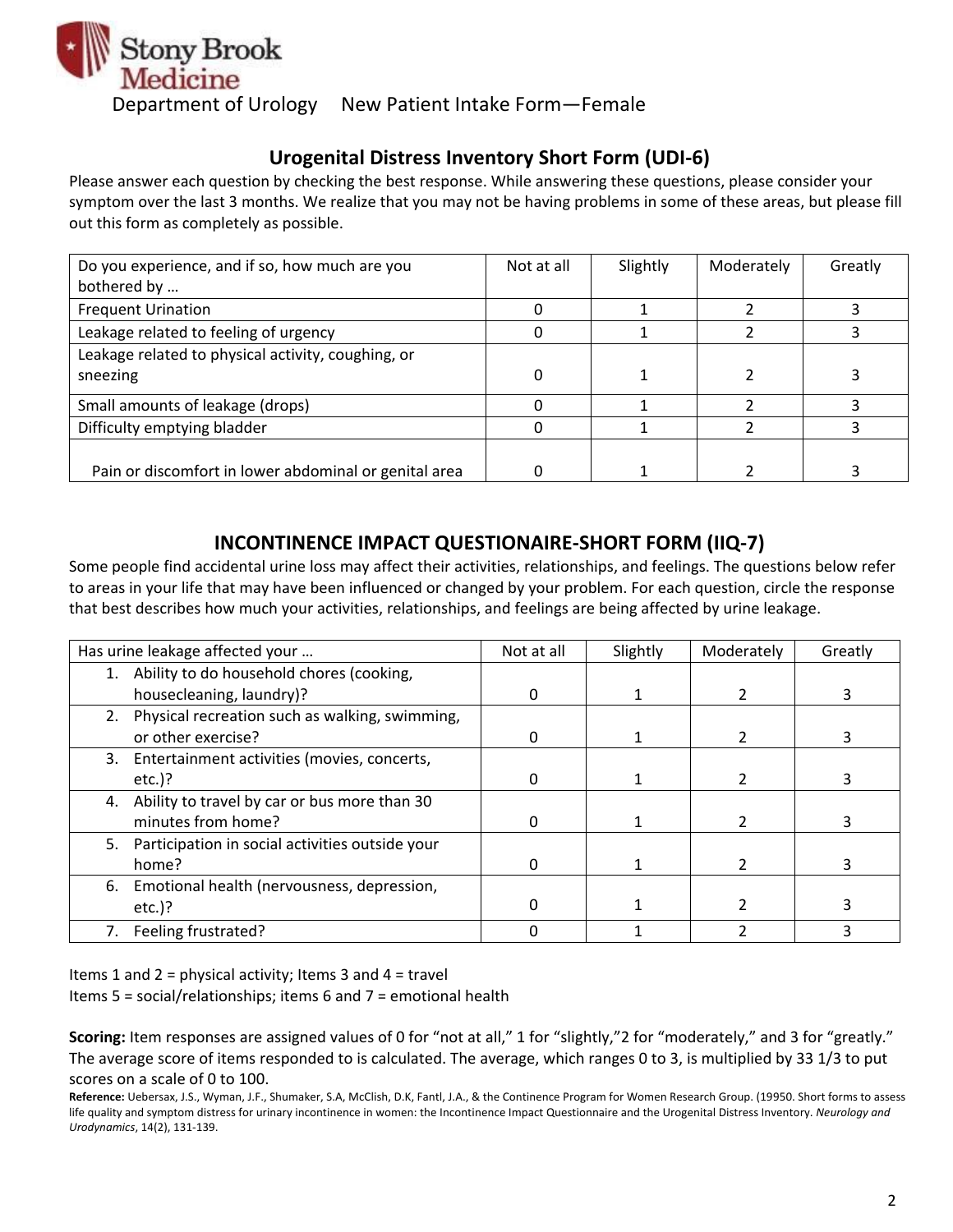

# **Urogenital Distress Inventory Short Form (UDI-6)**

Please answer each question by checking the best response. While answering these questions, please consider your symptom over the last 3 months. We realize that you may not be having problems in some of these areas, but please fill out this form as completely as possible.

| Do you experience, and if so, how much are you        | Not at all | Slightly | Moderately | Greatly |
|-------------------------------------------------------|------------|----------|------------|---------|
| bothered by                                           |            |          |            |         |
| <b>Frequent Urination</b>                             |            |          |            |         |
| Leakage related to feeling of urgency                 |            |          |            |         |
| Leakage related to physical activity, coughing, or    |            |          |            |         |
| sneezing                                              | 0          |          |            |         |
| Small amounts of leakage (drops)                      |            |          |            |         |
| Difficulty emptying bladder                           |            |          |            |         |
|                                                       |            |          |            |         |
| Pain or discomfort in lower abdominal or genital area |            |          |            |         |

## **INCONTINENCE IMPACT QUESTIONAIRE-SHORT FORM (IIQ-7)**

Some people find accidental urine loss may affect their activities, relationships, and feelings. The questions below refer to areas in your life that may have been influenced or changed by your problem. For each question, circle the response that best describes how much your activities, relationships, and feelings are being affected by urine leakage.

|    | Has urine leakage affected your                    | Not at all | Slightly | Moderately | Greatly |
|----|----------------------------------------------------|------------|----------|------------|---------|
|    | 1. Ability to do household chores (cooking,        |            |          |            |         |
|    | housecleaning, laundry)?                           |            |          |            | 3       |
|    | 2. Physical recreation such as walking, swimming,  |            |          |            |         |
|    | or other exercise?                                 |            |          |            |         |
| 3. | Entertainment activities (movies, concerts,        |            |          |            |         |
|    | $etc.$ )?                                          |            |          |            |         |
| 4. | Ability to travel by car or bus more than 30       |            |          |            |         |
|    | minutes from home?                                 |            |          |            |         |
|    | 5. Participation in social activities outside your |            |          |            |         |
|    | home?                                              |            |          |            | 3       |
| 6. | Emotional health (nervousness, depression,         |            |          |            |         |
|    | $etc.$ )?                                          |            |          |            |         |
|    | 7. Feeling frustrated?                             |            |          |            | ੨       |

Items 1 and 2 = physical activity; Items 3 and 4 = travel

Items 5 = social/relationships; items 6 and 7 = emotional health

**Scoring:** Item responses are assigned values of 0 for "not at all," 1 for "slightly,"2 for "moderately," and 3 for "greatly." The average score of items responded to is calculated. The average, which ranges 0 to 3, is multiplied by 33 1/3 to put scores on a scale of 0 to 100.

**Reference:** Uebersax, J.S., Wyman, J.F., Shumaker, S.A, McClish, D.K, Fantl, J.A., & the Continence Program for Women Research Group. (19950. Short forms to assess life quality and symptom distress for urinary incontinence in women: the Incontinence Impact Questionnaire and the Urogenital Distress Inventory. *Neurology and Urodynamics*, 14(2), 131-139.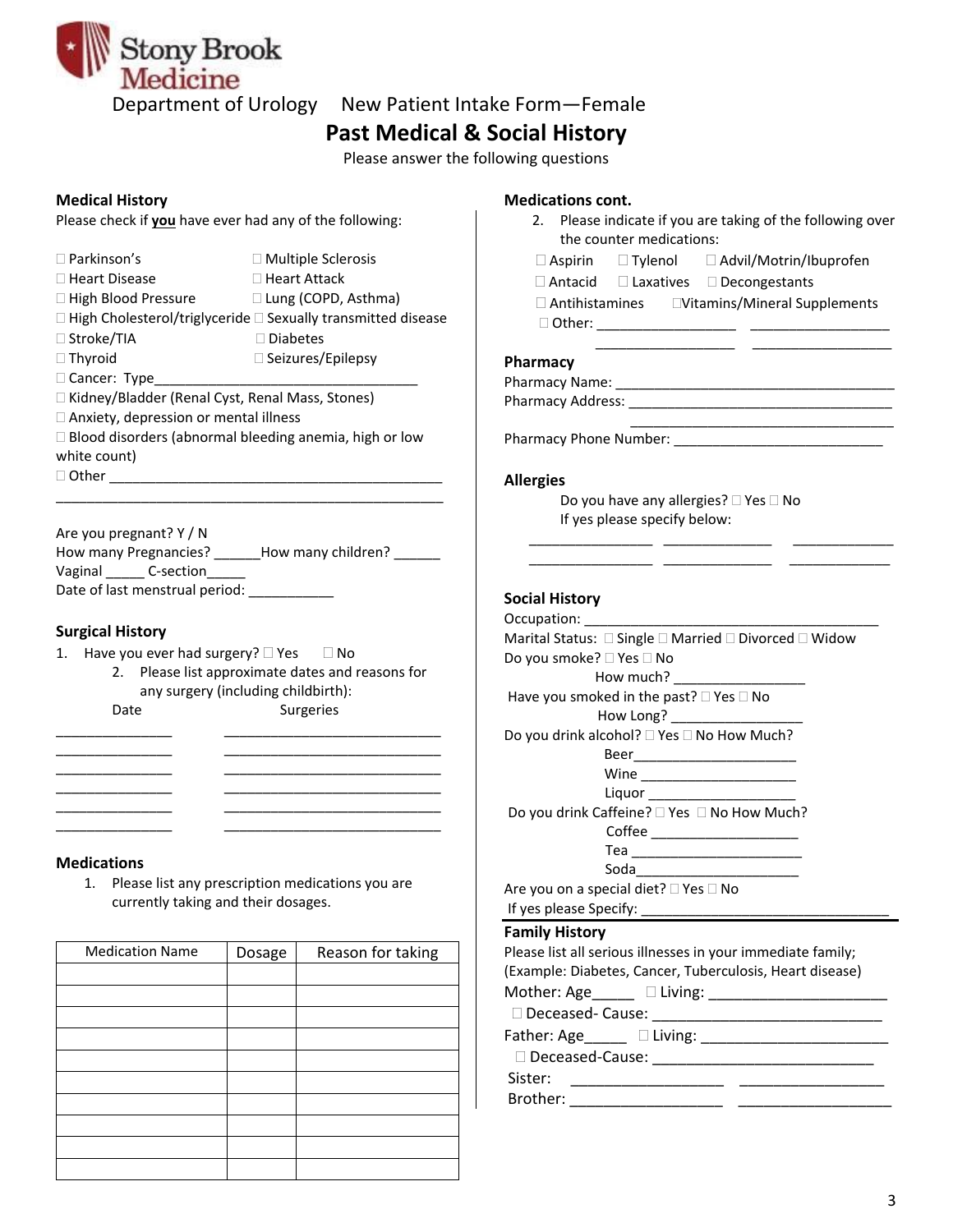

# **Past Medical & Social History**

Please answer the following questions

Please check if **you** have ever had any of the following:

| $\Box$ Parkinson's                                            | $\Box$ Multiple Sclerosis                                                |
|---------------------------------------------------------------|--------------------------------------------------------------------------|
| $\Box$ Heart Disease                                          | $\Box$ Heart Attack                                                      |
| $\Box$ High Blood Pressure                                    | $\Box$ Lung (COPD, Asthma)                                               |
|                                                               | $\Box$ High Cholesterol/triglyceride $\Box$ Sexually transmitted disease |
| $\Box$ Stroke/TIA                                             | $\Box$ Diabetes                                                          |
| $\Box$ Thyroid                                                | $\Box$ Seizures/Epilepsy                                                 |
| □ Cancer: Type                                                |                                                                          |
| $\Box$ Kidney/Bladder (Renal Cyst, Renal Mass, Stones)        |                                                                          |
| $\Box$ Anxiety, depression or mental illness                  |                                                                          |
| $\Box$ Blood disorders (abnormal bleeding anemia, high or low |                                                                          |
| white count)                                                  |                                                                          |

 $\Box$  Other  $\rule{1em}{0.15mm}$ 

Are you pregnant? Y / N How many Pregnancies? \_\_\_\_\_\_How many children? \_\_\_\_\_\_ Vaginal \_\_\_\_\_\_\_\_ C-section\_\_\_\_\_\_\_ Date of last menstrual period: \_\_\_\_\_\_\_\_\_

\_\_\_\_\_\_\_\_\_\_\_\_\_\_\_\_\_\_\_\_\_\_\_\_\_\_\_\_\_\_\_\_\_\_\_\_\_\_\_\_\_\_\_\_\_\_\_\_\_\_

#### **Surgical History**

- 1. Have you ever had surgery?  $\Box$  Yes  $\Box$  No
	- 2. Please list approximate dates and reasons for any surgery (including childbirth): Date Surgeries

\_\_\_\_\_\_\_\_\_\_\_\_\_\_\_ \_\_\_\_\_\_\_\_\_\_\_\_\_\_\_\_\_\_\_\_\_\_\_\_\_\_\_\_ \_\_\_\_\_\_\_\_\_\_\_\_\_\_\_ \_\_\_\_\_\_\_\_\_\_\_\_\_\_\_\_\_\_\_\_\_\_\_\_\_\_\_\_ \_\_\_\_\_\_\_\_\_\_\_\_\_\_\_ \_\_\_\_\_\_\_\_\_\_\_\_\_\_\_\_\_\_\_\_\_\_\_\_\_\_\_\_

\_\_\_\_\_\_\_\_\_\_\_\_\_\_\_ \_\_\_\_\_\_\_\_\_\_\_\_\_\_\_\_\_\_\_\_\_\_\_\_\_\_\_\_ \_\_\_\_\_\_\_\_\_\_\_\_\_\_\_ \_\_\_\_\_\_\_\_\_\_\_\_\_\_\_\_\_\_\_\_\_\_\_\_\_\_\_\_

#### **Medications**

1. Please list any prescription medications you are currently taking and their dosages.

| <b>Medication Name</b> | Dosage | Reason for taking |
|------------------------|--------|-------------------|
|                        |        |                   |
|                        |        |                   |
|                        |        |                   |
|                        |        |                   |
|                        |        |                   |
|                        |        |                   |
|                        |        |                   |
|                        |        |                   |
|                        |        |                   |
|                        |        |                   |

### **Medical History Medications cont.**

| 2. Please indicate if you are taking of the following over                                                            |
|-----------------------------------------------------------------------------------------------------------------------|
| the counter medications:                                                                                              |
| □ Aspirin □ Tylenol □ Advil/Motrin/Ibuprofen                                                                          |
| □ Antacid □ Laxatives □ Decongestants                                                                                 |
|                                                                                                                       |
|                                                                                                                       |
| the control of the control of the control of the control of the control of                                            |
| Pharmacy                                                                                                              |
|                                                                                                                       |
|                                                                                                                       |
|                                                                                                                       |
|                                                                                                                       |
| <b>Allergies</b>                                                                                                      |
| Do you have any allergies? □ Yes □ No                                                                                 |
| If yes please specify below:                                                                                          |
|                                                                                                                       |
| <u> 1980 - Jan Jan Jawa Barat, pada 1980 - Andrea State Barat, pada 1980 - Andrea State Barat, pada 1980 - Andrea</u> |
| <b>Social History</b>                                                                                                 |
| Occupation: ______                                                                                                    |
| Marital Status: □ Single □ Married □ Divorced □ Widow                                                                 |
| Do you smoke? □ Yes □ No                                                                                              |
| How much?                                                                                                             |
| Have you smoked in the past? □ Yes □ No                                                                               |
| How Long? _______________                                                                                             |
| Do you drink alcohol? □ Yes □ No How Much?                                                                            |
|                                                                                                                       |
|                                                                                                                       |
| Liquor <sub>______</sub>                                                                                              |
| Do you drink Caffeine? □ Yes □ No How Much?                                                                           |
|                                                                                                                       |
|                                                                                                                       |
| Soda______                                                                                                            |
| Are you on a special diet? □ Yes □ No                                                                                 |
|                                                                                                                       |

#### **Family History**

|                 | Please list all serious illnesses in your immediate family; |
|-----------------|-------------------------------------------------------------|
|                 | (Example: Diabetes, Cancer, Tuberculosis, Heart disease)    |
|                 |                                                             |
|                 |                                                             |
|                 |                                                             |
| Deceased-Cause: |                                                             |
| Sister:         |                                                             |
| Brother:        |                                                             |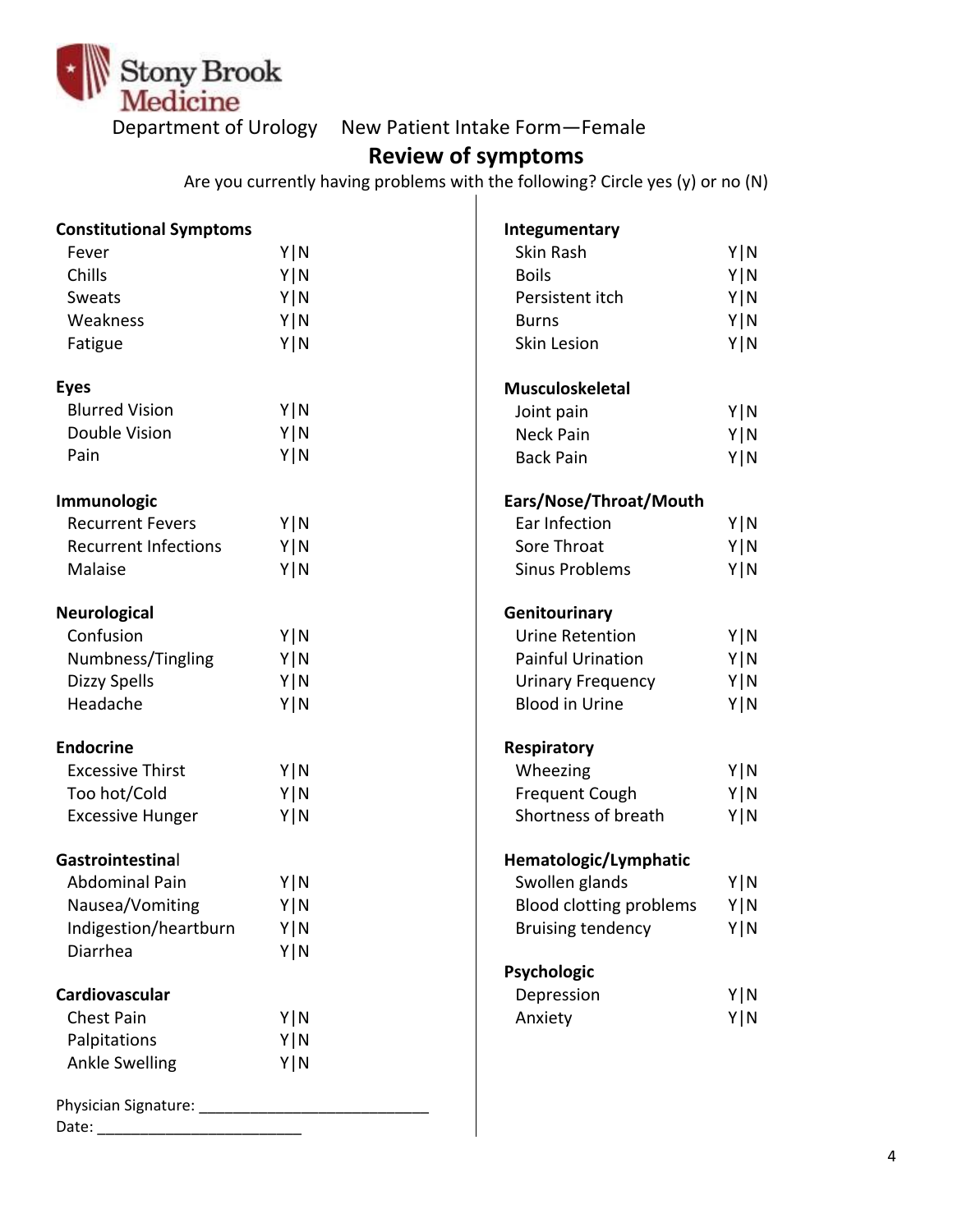

# **Review of symptoms**

Are you currently having problems with the following? Circle yes (y) or no (N)

| <b>Constitutional Symptoms</b> |       | Integumentary                  |       |
|--------------------------------|-------|--------------------------------|-------|
| Fever                          | Y   N | Skin Rash                      | Y   N |
| Chills                         | Y   N | <b>Boils</b>                   | Y N   |
| Sweats                         | Y   N | Persistent itch                | Y N   |
| Weakness                       | Y N   | <b>Burns</b>                   | Y N   |
| Fatigue                        | Y   N | <b>Skin Lesion</b>             | Y N   |
| <b>Eyes</b>                    |       | <b>Musculoskeletal</b>         |       |
| <b>Blurred Vision</b>          | Y   N | Joint pain                     | Y N   |
| Double Vision                  | Y N   | Neck Pain                      | Y N   |
| Pain                           | Y   N | <b>Back Pain</b>               | Y   N |
| Immunologic                    |       | Ears/Nose/Throat/Mouth         |       |
| <b>Recurrent Fevers</b>        | Y   N | Ear Infection                  | Y   N |
| <b>Recurrent Infections</b>    | Y   N | Sore Throat                    | Y N   |
| Malaise                        | Y   N | <b>Sinus Problems</b>          | Y   N |
| <b>Neurological</b>            |       | Genitourinary                  |       |
| Confusion                      | Y   N | <b>Urine Retention</b>         | Y   N |
| Numbness/Tingling              | Y   N | <b>Painful Urination</b>       | Y N   |
| <b>Dizzy Spells</b>            | Y   N | <b>Urinary Frequency</b>       | Y N   |
| Headache                       | Y   N | <b>Blood in Urine</b>          | Y   N |
| <b>Endocrine</b>               |       | Respiratory                    |       |
| <b>Excessive Thirst</b>        | Y   N | Wheezing                       | Y   N |
| Too hot/Cold                   | Y   N | <b>Frequent Cough</b>          | Y N   |
| <b>Excessive Hunger</b>        | Y   N | Shortness of breath            | Y N   |
| Gastrointestinal               |       | Hematologic/Lymphatic          |       |
| Abdominal Pain                 | Y   N | Swollen glands                 | Y   N |
| Nausea/Vomiting                | Y   N | <b>Blood clotting problems</b> | Y   N |
| Indigestion/heartburn          | Y   N | <b>Bruising tendency</b>       | Y   N |
| Diarrhea                       | Y   N |                                |       |
|                                |       | Psychologic                    |       |
| Cardiovascular                 |       | Depression                     | Y N   |
| <b>Chest Pain</b>              | Y   N | Anxiety                        | Y N   |
| Palpitations                   | Y   N |                                |       |
| <b>Ankle Swelling</b>          | Y   N |                                |       |
|                                |       |                                |       |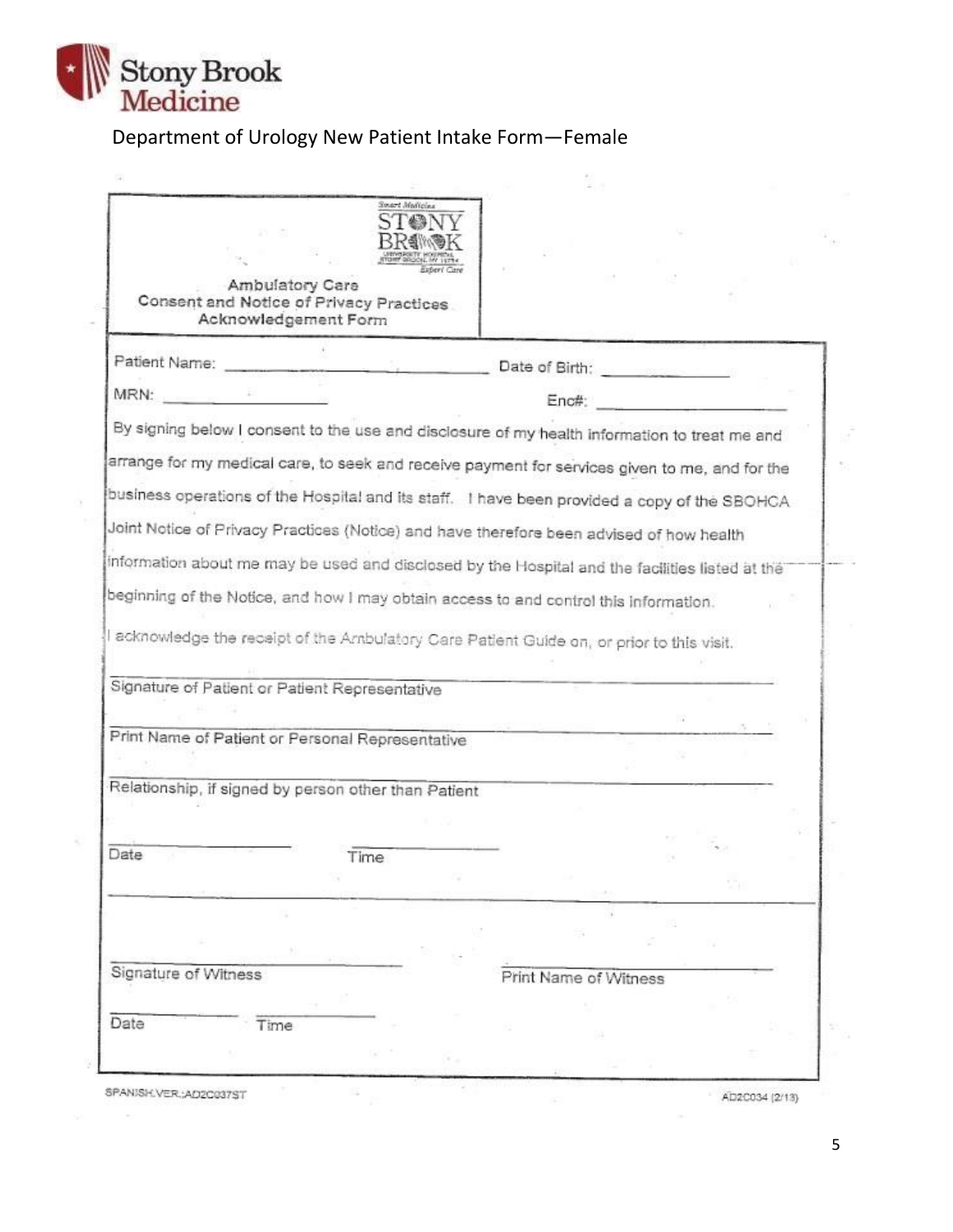

 $\widehat{G}(\widehat{\theta})$ 

R

Ŧ

 $\sim$ 

# Department of Urology New Patient Intake Form—Female

| Ambulatory Care<br>Consent and Notice of Privacy Practices<br>Acknowledgement Form                                                                                                                                                    |                                                     |                                |  |  |
|---------------------------------------------------------------------------------------------------------------------------------------------------------------------------------------------------------------------------------------|-----------------------------------------------------|--------------------------------|--|--|
| Patient Name:                                                                                                                                                                                                                         | <u> 1980 - Andrew Marie Marie II, amerikan bisa</u> | Date of Birth: <b>Campbell</b> |  |  |
| MRN:                                                                                                                                                                                                                                  |                                                     | Enc#:                          |  |  |
| By signing below I consent to the use and disclosure of my health information to treat me and                                                                                                                                         |                                                     |                                |  |  |
| arrange for my medical care, to seek and receive payment for services given to me, and for the                                                                                                                                        |                                                     |                                |  |  |
| business operations of the Hospital and its staff. I have been provided a copy of the SBOHCA                                                                                                                                          |                                                     |                                |  |  |
| Joint Notice of Privacy Practices (Notice) and have therefore been advised of how health                                                                                                                                              |                                                     |                                |  |  |
| information about me may be used and disclosed by the Hospital and the facilities listed at the                                                                                                                                       |                                                     |                                |  |  |
|                                                                                                                                                                                                                                       |                                                     |                                |  |  |
|                                                                                                                                                                                                                                       |                                                     |                                |  |  |
|                                                                                                                                                                                                                                       |                                                     |                                |  |  |
|                                                                                                                                                                                                                                       |                                                     |                                |  |  |
|                                                                                                                                                                                                                                       |                                                     |                                |  |  |
| beginning of the Notice, and how I may obtain access to and control this information.<br>I acknowledge the receipt of the Ambulatory Care Patient Guide on, or prior to this visit.<br>Signature of Patient or Patient Representative |                                                     |                                |  |  |
|                                                                                                                                                                                                                                       |                                                     |                                |  |  |
|                                                                                                                                                                                                                                       |                                                     |                                |  |  |
|                                                                                                                                                                                                                                       |                                                     |                                |  |  |
| Print Name of Patient or Personal Representative<br>Relationship, if signed by person other than Patient                                                                                                                              |                                                     |                                |  |  |
|                                                                                                                                                                                                                                       | Time                                                |                                |  |  |
|                                                                                                                                                                                                                                       |                                                     |                                |  |  |
|                                                                                                                                                                                                                                       |                                                     |                                |  |  |
|                                                                                                                                                                                                                                       |                                                     |                                |  |  |
|                                                                                                                                                                                                                                       |                                                     | Print Name of Witness          |  |  |
|                                                                                                                                                                                                                                       |                                                     |                                |  |  |
| Date<br>Signature of Witness<br>Date<br>Time                                                                                                                                                                                          |                                                     |                                |  |  |

 $\bar{g}$ 

AD2C034 (2/13)

5